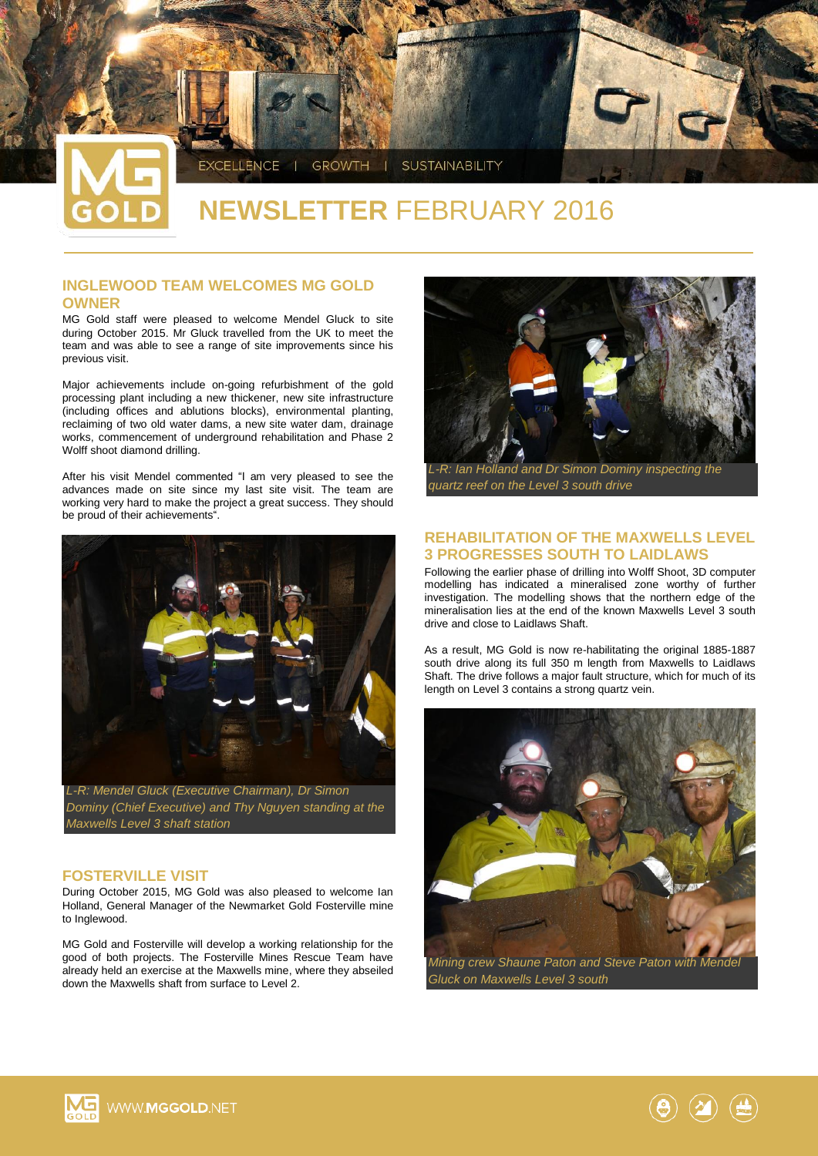

# **NEWSLETTER** FEBRUARY 2016

# **INGLEWOOD TEAM WELCOMES MG GOLD OWNER**

MG Gold staff were pleased to welcome Mendel Gluck to site during October 2015. Mr Gluck travelled from the UK to meet the team and was able to see a range of site improvements since his previous visit.

Major achievements include on-going refurbishment of the gold processing plant including a new thickener, new site infrastructure (including offices and ablutions blocks), environmental planting, reclaiming of two old water dams, a new site water dam, drainage works, commencement of underground rehabilitation and Phase 2 Wolff shoot diamond drilling.

After his visit Mendel commented "I am very pleased to see the advances made on site since my last site visit. The team are working very hard to make the project a great success. They should be proud of their achievements".



*Dominy (Chief Executive) and Thy Nguyen standing at the Maxwells Level 3 shaft station* 

## **FOSTERVILLE VISIT**

During October 2015, MG Gold was also pleased to welcome Ian Holland, General Manager of the Newmarket Gold Fosterville mine to Inglewood.

MG Gold and Fosterville will develop a working relationship for the good of both projects. The Fosterville Mines Rescue Team have already held an exercise at the Maxwells mine, where they abseiled down the Maxwells shaft from surface to Level 2.



*L-R: Ian Holland and Dr Simon Dominy inspecting the quartz reef on the Level 3 south drive*

# **REHABILITATION OF THE MAXWELLS LEVEL 3 PROGRESSES SOUTH TO LAIDLAWS**

Following the earlier phase of drilling into Wolff Shoot, 3D computer modelling has indicated a mineralised zone worthy of further investigation. The modelling shows that the northern edge of the mineralisation lies at the end of the known Maxwells Level 3 south drive and close to Laidlaws Shaft.

As a result, MG Gold is now re-habilitating the original 1885-1887 south drive along its full 350 m length from Maxwells to Laidlaws Shaft. The drive follows a major fault structure, which for much of its length on Level 3 contains a strong quartz vein.